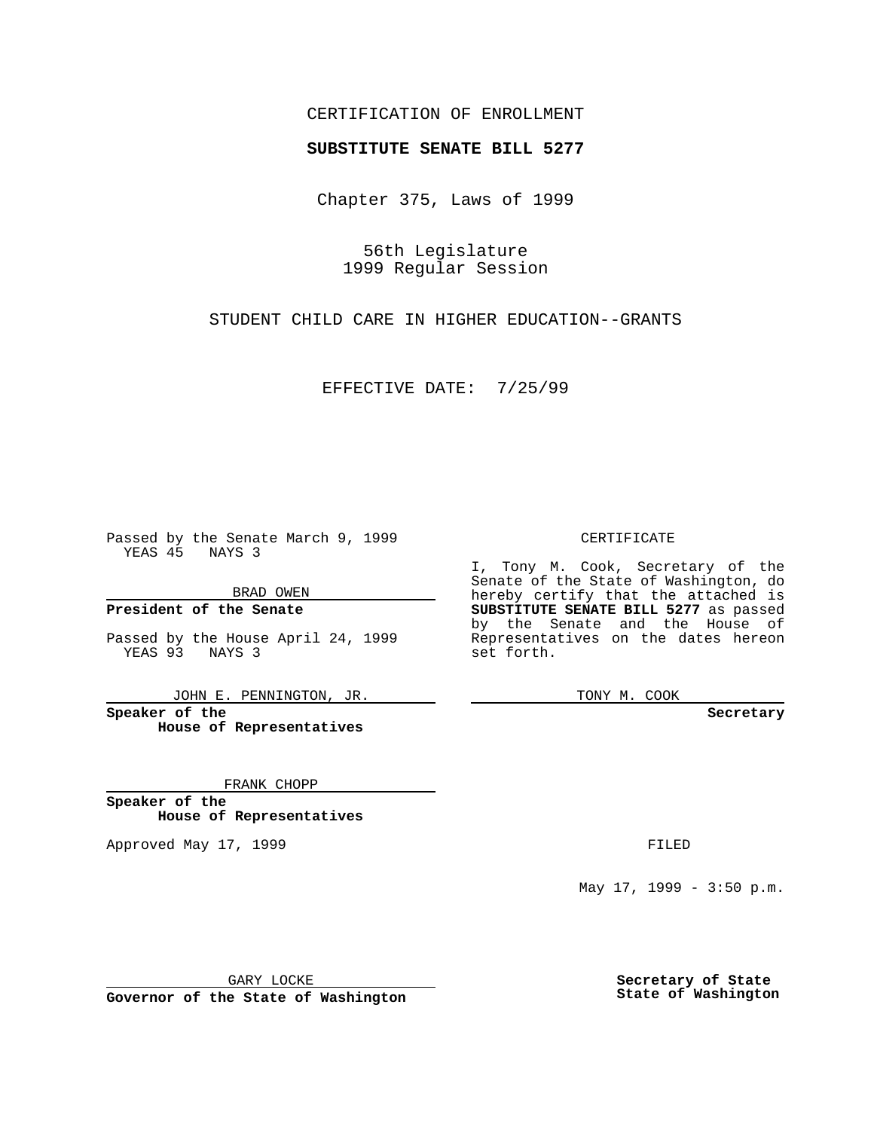### CERTIFICATION OF ENROLLMENT

# **SUBSTITUTE SENATE BILL 5277**

Chapter 375, Laws of 1999

56th Legislature 1999 Regular Session

STUDENT CHILD CARE IN HIGHER EDUCATION--GRANTS

EFFECTIVE DATE: 7/25/99

Passed by the Senate March 9, 1999 YEAS 45 NAYS 3

BRAD OWEN

**President of the Senate**

Passed by the House April 24, 1999 YEAS 93 NAYS 3

JOHN E. PENNINGTON, JR.

**Speaker of the House of Representatives**

FRANK CHOPP

**Speaker of the House of Representatives**

Approved May 17, 1999 **FILED** 

CERTIFICATE

I, Tony M. Cook, Secretary of the Senate of the State of Washington, do hereby certify that the attached is **SUBSTITUTE SENATE BILL 5277** as passed by the Senate and the House of Representatives on the dates hereon set forth.

TONY M. COOK

#### **Secretary**

May 17, 1999 - 3:50 p.m.

GARY LOCKE

**Governor of the State of Washington**

**Secretary of State State of Washington**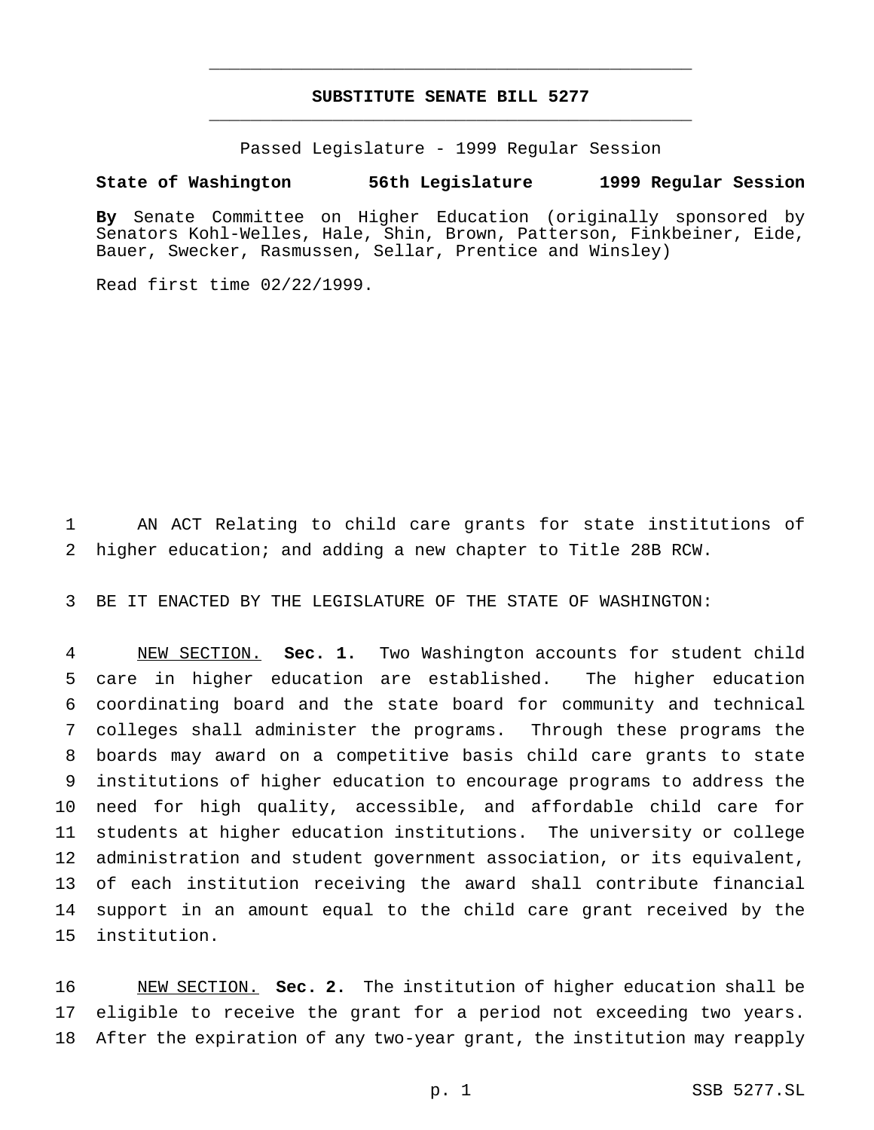## **SUBSTITUTE SENATE BILL 5277** \_\_\_\_\_\_\_\_\_\_\_\_\_\_\_\_\_\_\_\_\_\_\_\_\_\_\_\_\_\_\_\_\_\_\_\_\_\_\_\_\_\_\_\_\_\_\_

\_\_\_\_\_\_\_\_\_\_\_\_\_\_\_\_\_\_\_\_\_\_\_\_\_\_\_\_\_\_\_\_\_\_\_\_\_\_\_\_\_\_\_\_\_\_\_

Passed Legislature - 1999 Regular Session

### **State of Washington 56th Legislature 1999 Regular Session**

**By** Senate Committee on Higher Education (originally sponsored by Senators Kohl-Welles, Hale, Shin, Brown, Patterson, Finkbeiner, Eide, Bauer, Swecker, Rasmussen, Sellar, Prentice and Winsley)

Read first time 02/22/1999.

 AN ACT Relating to child care grants for state institutions of higher education; and adding a new chapter to Title 28B RCW.

BE IT ENACTED BY THE LEGISLATURE OF THE STATE OF WASHINGTON:

 NEW SECTION. **Sec. 1.** Two Washington accounts for student child care in higher education are established. The higher education coordinating board and the state board for community and technical colleges shall administer the programs. Through these programs the boards may award on a competitive basis child care grants to state institutions of higher education to encourage programs to address the need for high quality, accessible, and affordable child care for students at higher education institutions. The university or college administration and student government association, or its equivalent, of each institution receiving the award shall contribute financial support in an amount equal to the child care grant received by the institution.

 NEW SECTION. **Sec. 2.** The institution of higher education shall be eligible to receive the grant for a period not exceeding two years. After the expiration of any two-year grant, the institution may reapply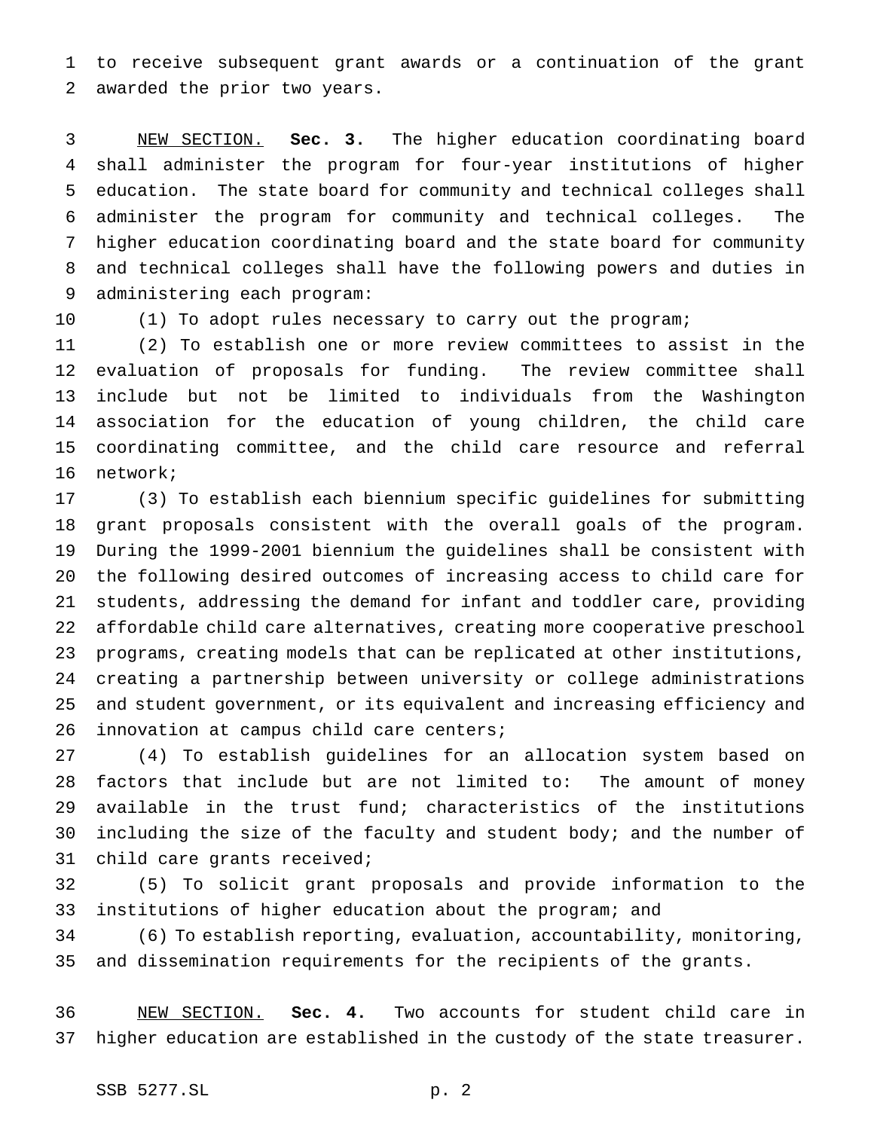to receive subsequent grant awards or a continuation of the grant awarded the prior two years.

 NEW SECTION. **Sec. 3.** The higher education coordinating board shall administer the program for four-year institutions of higher education. The state board for community and technical colleges shall administer the program for community and technical colleges. The higher education coordinating board and the state board for community and technical colleges shall have the following powers and duties in administering each program:

(1) To adopt rules necessary to carry out the program;

 (2) To establish one or more review committees to assist in the evaluation of proposals for funding. The review committee shall include but not be limited to individuals from the Washington association for the education of young children, the child care coordinating committee, and the child care resource and referral network;

 (3) To establish each biennium specific guidelines for submitting grant proposals consistent with the overall goals of the program. During the 1999-2001 biennium the guidelines shall be consistent with the following desired outcomes of increasing access to child care for students, addressing the demand for infant and toddler care, providing affordable child care alternatives, creating more cooperative preschool programs, creating models that can be replicated at other institutions, creating a partnership between university or college administrations and student government, or its equivalent and increasing efficiency and innovation at campus child care centers;

 (4) To establish guidelines for an allocation system based on factors that include but are not limited to: The amount of money available in the trust fund; characteristics of the institutions 30 including the size of the faculty and student body; and the number of child care grants received;

 (5) To solicit grant proposals and provide information to the institutions of higher education about the program; and

 (6) To establish reporting, evaluation, accountability, monitoring, and dissemination requirements for the recipients of the grants.

 NEW SECTION. **Sec. 4.** Two accounts for student child care in higher education are established in the custody of the state treasurer.